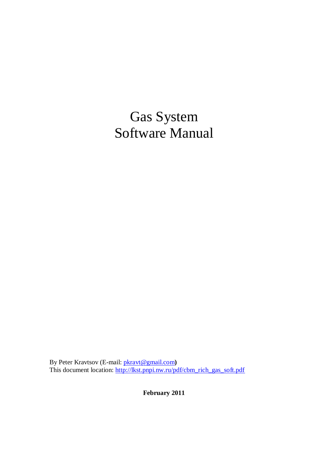# Gas System Software Manual

By Peter Kravtsov (E-mail: [pkravt@gmail.com](mailto:pkravt@gmail.com)**)**  This document location: [http://lkst.pnpi.nw.ru/pdf/cbm\\_rich\\_gas\\_soft.pdf](http://lkst.pnpi.nw.ru/pdf/cbm_rich_gas_soft.pdf)

**February 2011**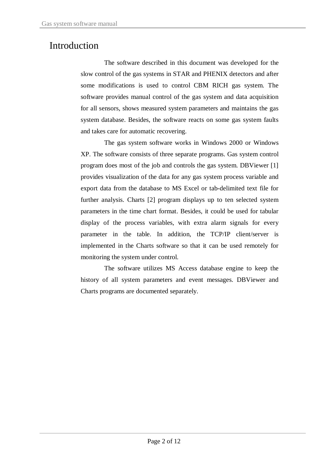### Introduction

The software described in this document was developed for the slow control of the gas systems in STAR and PHENIX detectors and after some modifications is used to control CBM RICH gas system. The software provides manual control of the gas system and data acquisition for all sensors, shows measured system parameters and maintains the gas system database. Besides, the software reacts on some gas system faults and takes care for automatic recovering.

The gas system software works in Windows 2000 or Windows XP. The software consists of three separate programs. Gas system control program does most of the job and controls the gas system. DBViewer [1] provides visualization of the data for any gas system process variable and export data from the database to MS Excel or tab-delimited text file for further analysis. Charts [2] program displays up to ten selected system parameters in the time chart format. Besides, it could be used for tabular display of the process variables, with extra alarm signals for every parameter in the table. In addition, the TCP/IP client/server is implemented in the Charts software so that it can be used remotely for monitoring the system under control.

The software utilizes MS Access database engine to keep the history of all system parameters and event messages. DBViewer and Charts programs are documented separately.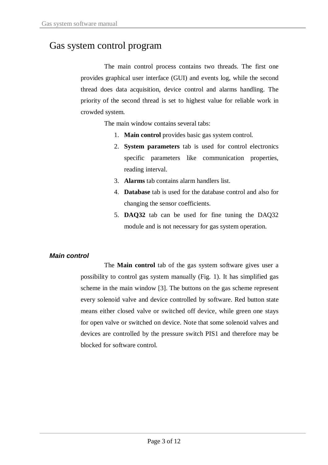### Gas system control program

The main control process contains two threads. The first one provides graphical user interface (GUI) and events log, while the second thread does data acquisition, device control and alarms handling. The priority of the second thread is set to highest value for reliable work in crowded system.

The main window contains several tabs:

- 1. **Main control** provides basic gas system control.
- 2. **System parameters** tab is used for control electronics specific parameters like communication properties, reading interval.
- 3. **Alarms** tab contains alarm handlers list.
- 4. **Database** tab is used for the database control and also for changing the sensor coefficients.
- 5. **DAQ32** tab can be used for fine tuning the DAQ32 module and is not necessary for gas system operation.

#### *Main control*

The **Main control** tab of the gas system software gives user a possibility to control gas system manually (Fig. 1). It has simplified gas scheme in the main window [3]. The buttons on the gas scheme represent every solenoid valve and device controlled by software. Red button state means either closed valve or switched off device, while green one stays for open valve or switched on device. Note that some solenoid valves and devices are controlled by the pressure switch PIS1 and therefore may be blocked for software control.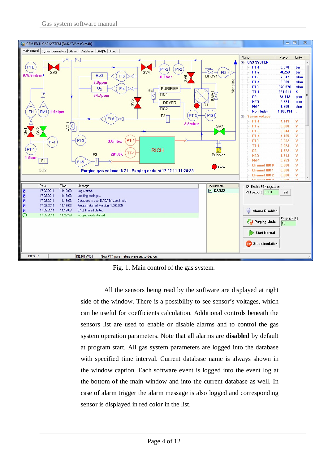

Fig. 1. Main control of the gas system.

All the sensors being read by the software are displayed at right side of the window. There is a possibility to see sensor's voltages, which can be useful for coefficients calculation. Additional controls beneath the sensors list are used to enable or disable alarms and to control the gas system operation parameters. Note that all alarms are **disabled** by default at program start. All gas system parameters are logged into the database with specified time interval. Current database name is always shown in the window caption. Each software event is logged into the event log at the bottom of the main window and into the current database as well. In case of alarm trigger the alarm message is also logged and corresponding sensor is displayed in red color in the list.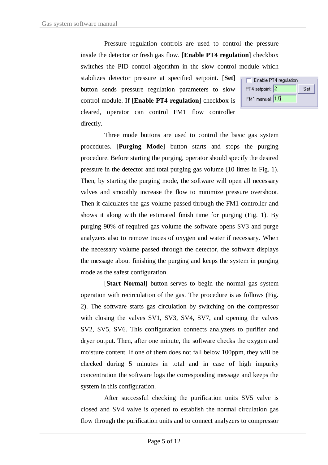Pressure regulation controls are used to control the pressure inside the detector or fresh gas flow. [**Enable PT4 regulation**] checkbox switches the PID control algorithm in the slow control module which stabilizes detector pressure at specified setpoint. [**Set**] Enable PT4 regulation PT4 setpoint: 2 button sends pressure regulation parameters to slow FM1 manual: 1.5 control module. If [**Enable PT4 regulation**] checkbox is cleared, operator can control FM1 flow controller directly.

Set

Three mode buttons are used to control the basic gas system procedures. [**Purging Mode**] button starts and stops the purging procedure. Before starting the purging, operator should specify the desired pressure in the detector and total purging gas volume (10 litres in Fig. 1). Then, by starting the purging mode, the software will open all necessary valves and smoothly increase the flow to minimize pressure overshoot. Then it calculates the gas volume passed through the FM1 controller and shows it along with the estimated finish time for purging (Fig. 1). By purging 90% of required gas volume the software opens SV3 and purge analyzers also to remove traces of oxygen and water if necessary. When the necessary volume passed through the detector, the software displays the message about finishing the purging and keeps the system in purging mode as the safest configuration.

[**Start Normal**] button serves to begin the normal gas system operation with recirculation of the gas. The procedure is as follows (Fig. 2). The software starts gas circulation by switching on the compressor with closing the valves SV1, SV3, SV4, SV7, and opening the valves SV2, SV5, SV6. This configuration connects analyzers to purifier and dryer output. Then, after one minute, the software checks the oxygen and moisture content. If one of them does not fall below 100ppm, they will be checked during 5 minutes in total and in case of high impurity concentration the software logs the corresponding message and keeps the system in this configuration.

After successful checking the purification units SV5 valve is closed and SV4 valve is opened to establish the normal circulation gas flow through the purification units and to connect analyzers to compressor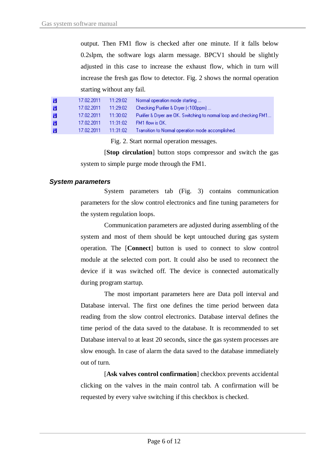output. Then FM1 flow is checked after one minute. If it falls below 0.2slpm, the software logs alarm message. BPCV1 should be slightly adjusted in this case to increase the exhaust flow, which in turn will increase the fresh gas flow to detector. Fig. 2 shows the normal operation starting without any fail.

| и | 17.02.2011 | 11:29:02 | Normal operation mode starting                                     |
|---|------------|----------|--------------------------------------------------------------------|
| и | 17.02.2011 | 11:29:02 | Checking Purifier & Dryer (<100ppm)                                |
| и | 17.02.2011 | 11:30:02 | Purifier & Dryer are OK. Switching to normal loop and checking FM1 |
| и | 17.02.2011 | 11:31:02 | FM1 flow is OK.                                                    |
| и | 17.02.2011 | 11:31:02 | Transition to Normal operation mode accomplished.                  |

Fig. 2. Start normal operation messages.

[**Stop circulation**] button stops compressor and switch the gas system to simple purge mode through the FM1.

#### *System parameters*

System parameters tab (Fig. 3) contains communication parameters for the slow control electronics and fine tuning parameters for the system regulation loops.

Communication parameters are adjusted during assembling of the system and most of them should be kept untouched during gas system operation. The [**Connect**] button is used to connect to slow control module at the selected com port. It could also be used to reconnect the device if it was switched off. The device is connected automatically during program startup.

The most important parameters here are Data poll interval and Database interval. The first one defines the time period between data reading from the slow control electronics. Database interval defines the time period of the data saved to the database. It is recommended to set Database interval to at least 20 seconds, since the gas system processes are slow enough. In case of alarm the data saved to the database immediately out of turn.

[**Ask valves control confirmation**] checkbox prevents accidental clicking on the valves in the main control tab. A confirmation will be requested by every valve switching if this checkbox is checked.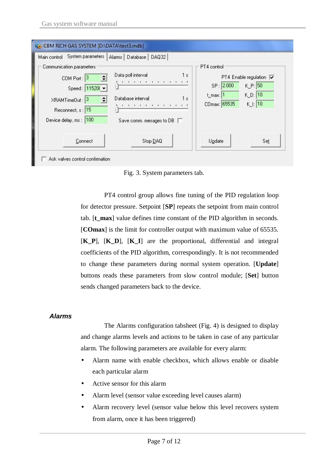| Main control System parameters<br>Alarms   Database   DAQ32                                                                                                                                                                                                                                                                  |                                                                                                                                                           |     |  |
|------------------------------------------------------------------------------------------------------------------------------------------------------------------------------------------------------------------------------------------------------------------------------------------------------------------------------|-----------------------------------------------------------------------------------------------------------------------------------------------------------|-----|--|
| Communication parameters<br>Data poll interval<br>1s<br>E<br>$COM$ Port: $3$<br>The first contract of the contract of<br>Speed: 115200 ▼<br>Database interval<br>1s<br>XRAMTimeOut: 3<br>The following the first contract to the first that<br>Reconnect, s: 15<br>Device delay, ms : 100<br>Save comm. mesages to DB $\Box$ | PT4 control<br>PT4 Enable regulation $\overline{\mathbf{v}}$<br>SP: 2.000<br>$K$ P: 50<br>$K_D$ : 10<br>t_max: 1<br>$K$ .: 10<br>CO <sub>max: 65535</sub> |     |  |
| Stop DAQ<br>Connect                                                                                                                                                                                                                                                                                                          | Update                                                                                                                                                    | Set |  |

Fig. 3. System parameters tab.

PT4 control group allows fine tuning of the PID regulation loop for detector pressure. Setpoint [**SP**] repeats the setpoint from main control tab. [**t\_max**] value defines time constant of the PID algorithm in seconds. [**COmax**] is the limit for controller output with maximum value of 65535. [**K\_P**], [**K\_D**], [**K\_I**] are the proportional, differential and integral coefficients of the PID algorithm, correspondingly. It is not recommended to change these parameters during normal system operation. [**Update**] buttons reads these parameters from slow control module; [**Set**] button sends changed parameters back to the device.

#### *Alarms*

The Alarms configuration tabsheet (Fig. 4) is designed to display and change alarms levels and actions to be taken in case of any particular alarm. The following parameters are available for every alarm:

- Alarm name with enable checkbox, which allows enable or disable each particular alarm
- Active sensor for this alarm
- Alarm level (sensor value exceeding level causes alarm)
- Alarm recovery level (sensor value below this level recovers system from alarm, once it has been triggered)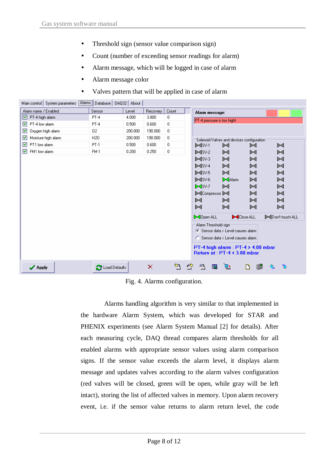- Threshold sign (sensor value comparison sign)
- Count (number of exceeding sensor readings for alarm)
- Alarm message, which will be logged in case of alarm
- Alarm message color
- Valves pattern that will be applied in case of alarm

| Main control System parameters [Alarms] Database   DAQ32 |                        | About   |          |             |                                                                                                  |
|----------------------------------------------------------|------------------------|---------|----------|-------------|--------------------------------------------------------------------------------------------------|
| Alarm name / Enabled                                     | Sensor                 | Level   | Recovery | Count       | Alarm message:                                                                                   |
| $\triangledown$ PT-4 high alarm                          | $PT-4$                 | 4.000   | 3.800    | 0           | PT-4 pressure is too high!                                                                       |
| ▿<br>PT-4 low alarm                                      | $PT-4$                 | 0.500   | 0.600    | 0           |                                                                                                  |
| Oxygen high alarm<br>⊽                                   | 02                     | 200.000 | 190.000  | 0           |                                                                                                  |
| Moisture high alarm<br>▿                                 | H <sub>20</sub>        | 200.000 | 190.000  | 0           | Solenoid Valves and devices configuration:                                                       |
| PT1 low alarm<br>▿                                       | PT-1                   | 0.500   | 0.600    | $\mathbf 0$ | DISV-1<br>⊠<br>⊠<br>⊠                                                                            |
| FM1 low alarm<br>罓                                       | <b>FM-1</b>            | 0.200   | 0.250    | 0           | $\blacktriangleright$ $\blacktriangleleft$ sv-2<br>⊠<br>⊠<br>⊠                                   |
|                                                          |                        |         |          |             | $\blacktriangleright$ 4sv-3<br>⊠<br>⊠<br>⊠                                                       |
|                                                          |                        |         |          |             | $\blacktriangleright$ $\blacktriangleleft$ SV-4<br>ᢂ<br>⊠<br>⊠                                   |
|                                                          |                        |         |          |             | $\blacktriangleright$ 4sv-5<br>⊠<br>⊠<br>⊳₫                                                      |
|                                                          |                        |         |          |             | DISV-6<br><b>X</b> Alarm<br>⊠<br>⊠                                                               |
|                                                          |                        |         |          |             | DISV-7<br>⊠<br>⊠<br>⊠                                                                            |
|                                                          |                        |         |          |             | <b>MCompressor M</b><br>⊠<br>⊠                                                                   |
|                                                          |                        |         |          |             | $\bowtie$<br>⊠<br>⊠<br>⊠                                                                         |
|                                                          |                        |         |          |             | M<br>⊠<br>⊠<br>⊠                                                                                 |
|                                                          |                        |         |          |             | ▶ Open ALL<br>Close ALL<br>MDon't touch ALL                                                      |
|                                                          |                        |         |          |             | Alarm Threshold sign<br>⊙ Sensor data > Level causes alarm<br>○ Sensor data < Level causes alarm |
|                                                          |                        |         |          |             | PT-4 high alarm : PT-4 > 4.00 mbar<br>Return at: PT-4 < 3.80 mbar                                |
| $\blacktriangledown$ Apply                               | <b>B</b> Load Defaults |         | ×        | בס          | 塾<br>需<br>$\overline{\mathbf{x}}$<br>廱<br>Π                                                      |

Fig. 4. Alarms configuration.

Alarms handling algorithm is very similar to that implemented in the hardware Alarm System, which was developed for STAR and PHENIX experiments (see Alarm System Manual [2] for details). After each measuring cycle, DAQ thread compares alarm thresholds for all enabled alarms with appropriate sensor values using alarm comparison signs. If the sensor value exceeds the alarm level, it displays alarm message and updates valves according to the alarm valves configuration (red valves will be closed, green will be open, while gray will be left intact), storing the list of affected valves in memory. Upon alarm recovery event, i.e. if the sensor value returns to alarm return level, the code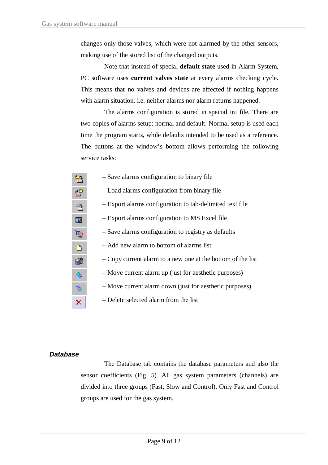changes only those valves, which were not alarmed by the other sensors, making use of the stored list of the changed outputs.

Note that instead of special **default state** used in Alarm System, PC software uses **current valves state** at every alarms checking cycle. This means that no valves and devices are affected if nothing happens with alarm situation, i.e. neither alarms nor alarm returns happened.

The alarms configuration is stored in special ini file. There are two copies of alarms setup: normal and default. Normal setup is used each time the program starts, while defaults intended to be used as a reference. The buttons at the window's bottom allows performing the following service tasks:

| 김                       | - Save alarms configuration to binary file                  |
|-------------------------|-------------------------------------------------------------|
| 兽                       | - Load alarms configuration from binary file                |
| 堅                       | - Export alarms configuration to tab-delimited text file    |
| $\overline{\mathbf{x}}$ | - Export alarms configuration to MS Excel file              |
| $\overline{\mathbf{u}}$ | - Save alarms configuration to registry as defaults         |
| ₿                       | - Add new alarm to bottom of alarms list                    |
| 窜                       | - Copy current alarm to a new one at the bottom of the list |
| 仓                       | - Move current alarm up (just for aesthetic purposes)       |
| ð                       | - Move current alarm down (just for aesthetic purposes)     |
| $\overline{\times}$     | - Delete selected alarm from the list                       |

#### *Database*

The Database tab contains the database parameters and also the sensor coefficients (Fig. 5). All gas system parameters (channels) are divided into three groups (Fast, Slow and Control). Only Fast and Control groups are used for the gas system.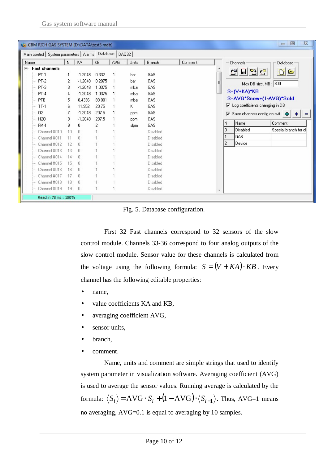| $\Sigma$<br>回<br>$\qquad \qquad \Box$<br>CBM RICH GAS SYSTEM [D:\DATA\test3.mdb]                                                                                                                                                                |                                                                          |                                                                                                                                                         |                                                                               |             |                                                                |                                                                                                                                                 |         |                          |                            |                                                                                                           |                                                                                                                                                                                                                                                                                                            |
|-------------------------------------------------------------------------------------------------------------------------------------------------------------------------------------------------------------------------------------------------|--------------------------------------------------------------------------|---------------------------------------------------------------------------------------------------------------------------------------------------------|-------------------------------------------------------------------------------|-------------|----------------------------------------------------------------|-------------------------------------------------------------------------------------------------------------------------------------------------|---------|--------------------------|----------------------------|-----------------------------------------------------------------------------------------------------------|------------------------------------------------------------------------------------------------------------------------------------------------------------------------------------------------------------------------------------------------------------------------------------------------------------|
| Main control   System parameters   Alarms   Database   DAQ32                                                                                                                                                                                    |                                                                          |                                                                                                                                                         |                                                                               |             |                                                                |                                                                                                                                                 |         |                          |                            |                                                                                                           |                                                                                                                                                                                                                                                                                                            |
| Name                                                                                                                                                                                                                                            | $\mathbb{N}$                                                             | KA                                                                                                                                                      | KB                                                                            | AVG         | Units                                                          | Branch                                                                                                                                          | Comment |                          |                            | Channels <sup>-</sup>                                                                                     | <b>Database</b>                                                                                                                                                                                                                                                                                            |
| <b>Fast channels</b><br>$\Box$<br>$PT-1$<br>$PT-2$<br>$PT-3$<br>$PT-4$<br>PTB<br>$TT-1$<br>02<br>H <sub>20</sub><br><b>FM-1</b><br>Channel #010<br>Channel #011<br>Channel #012<br>Channel #013<br>Channel #014<br>Channel #015<br>Channel #016 | 1<br>2<br>3<br>4<br>5<br>6<br>8<br>9<br>10<br>12<br>13<br>14<br>15<br>16 | $-1.2048$<br>$-1.2048$<br>$-1.2048$<br>$-1.2048$<br>8.4336<br>11.952<br>$-1.2048$<br>$-1.2048$<br>0<br>n<br>n<br>n<br>$\Omega$<br>n<br>$\cap$<br>$\Box$ | 0.332<br>0.2075<br>1.0375<br>1.0375<br>83.001<br>20.75<br>207.5<br>207.5<br>2 | 1<br>1<br>1 | bar<br>bar<br>mbar<br>mbar<br>mbar<br>Κ<br>ppm<br>ppm.<br>slpm | GAS<br>GAS<br>GAS<br>GAS<br>GAS<br>GAS<br>GAS<br>GAS<br>GAS<br>Disabled<br>Disabled<br>Disabled<br>Disabled<br>Disabled<br>Disabled<br>Disabled |         |                          | ١N<br>O.<br>$\overline{c}$ | 렌모면변<br>$S = (V+KA)^*KB$<br>$\nabla$ Log coefficients changing in DB<br>Name<br>Disabled<br>GAS<br>Device | $\begin{array}{c} \hline \mathbf{D} & \mathbf{D} \end{array}$<br>Max DB size, MB : 800<br>S=AVG*Snew+(1-AVG)*Sold<br>$\overline{\blacktriangledown}$ Save channels config on exit $\left\langle \!\!\left\langle \rule{0pt}{12pt}\right. \right. \!\!\!\!\right.$<br>٠<br>Comment<br>Special branch for ch |
| Channel #017<br>Channel #018                                                                                                                                                                                                                    | 17<br>18                                                                 | n<br>0                                                                                                                                                  |                                                                               |             |                                                                | Disabled<br>Disabled                                                                                                                            |         |                          |                            |                                                                                                           |                                                                                                                                                                                                                                                                                                            |
| Channel #019                                                                                                                                                                                                                                    | 19                                                                       | $\Box$                                                                                                                                                  |                                                                               |             |                                                                | Disabled                                                                                                                                        |         | $\overline{\phantom{a}}$ |                            |                                                                                                           |                                                                                                                                                                                                                                                                                                            |
| Read in 78 ms: 100%                                                                                                                                                                                                                             |                                                                          |                                                                                                                                                         |                                                                               |             |                                                                |                                                                                                                                                 |         |                          |                            |                                                                                                           |                                                                                                                                                                                                                                                                                                            |

Fig. 5. Database configuration.

First 32 Fast channels correspond to 32 sensors of the slow control module. Channels 33-36 correspond to four analog outputs of the slow control module. Sensor value for these channels is calculated from the voltage using the following formula:  $S = (V + KA) \cdot KB$ . Every channel has the following editable properties:

- name,
- value coefficients KA and KB,
- averaging coefficient AVG,
- sensor units,
- branch,
- comment.

Name, units and comment are simple strings that used to identify system parameter in visualization software. Averaging coefficient (AVG) is used to average the sensor values. Running average is calculated by the formula:  $\langle S_i \rangle = AVG \cdot S_i + (1 - AVG) \cdot \langle S_{i-1} \rangle$ . Thus, AVG=1 means no averaging, AVG=0.1 is equal to averaging by 10 samples.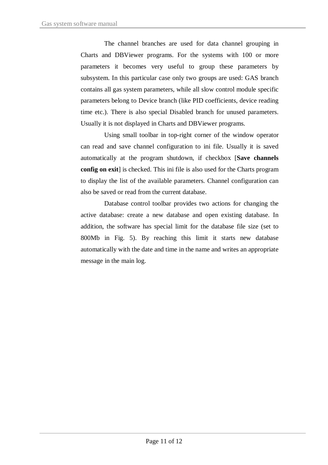The channel branches are used for data channel grouping in Charts and DBViewer programs. For the systems with 100 or more parameters it becomes very useful to group these parameters by subsystem. In this particular case only two groups are used: GAS branch contains all gas system parameters, while all slow control module specific parameters belong to Device branch (like PID coefficients, device reading time etc.). There is also special Disabled branch for unused parameters. Usually it is not displayed in Charts and DBViewer programs.

Using small toolbar in top-right corner of the window operator can read and save channel configuration to ini file. Usually it is saved automatically at the program shutdown, if checkbox [**Save channels config on exit**] is checked. This ini file is also used for the Charts program to display the list of the available parameters. Channel configuration can also be saved or read from the current database.

Database control toolbar provides two actions for changing the active database: create a new database and open existing database. In addition, the software has special limit for the database file size (set to 800Mb in Fig. 5). By reaching this limit it starts new database automatically with the date and time in the name and writes an appropriate message in the main log.